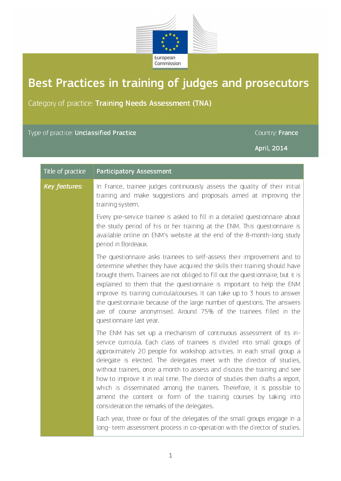

## Best Practices in training of judges and prosecutors

Category of practice: Training Needs Assessment (TNA)

| Type of practice: <b>Unclassified Practice</b> |                                                                                                                                                                                                                                                                                                                                                                                                                                                                                                                                                                                                                                                               | Country: France |
|------------------------------------------------|---------------------------------------------------------------------------------------------------------------------------------------------------------------------------------------------------------------------------------------------------------------------------------------------------------------------------------------------------------------------------------------------------------------------------------------------------------------------------------------------------------------------------------------------------------------------------------------------------------------------------------------------------------------|-----------------|
|                                                |                                                                                                                                                                                                                                                                                                                                                                                                                                                                                                                                                                                                                                                               | April, 2014     |
| Title of practice                              | <b>Participatory Assessment</b>                                                                                                                                                                                                                                                                                                                                                                                                                                                                                                                                                                                                                               |                 |
| <b>Key features:</b>                           | In France, trainee judges continuously assess the quality of their initial<br>training and make suggestions and proposals aimed at improving the<br>training system.                                                                                                                                                                                                                                                                                                                                                                                                                                                                                          |                 |
|                                                | Every pre-service trainee is asked to fill in a detailed questionnaire about<br>the study period of his or her training at the ENM. This questionnaire is<br>available online on ENM's website at the end of the 8-month-long study<br>period in Bordeaux.                                                                                                                                                                                                                                                                                                                                                                                                    |                 |
|                                                | The questionnaire asks trainees to self-assess their improvement and to<br>determine whether they have acquired the skills their training should have<br>brought them. Trainees are not obliged to fill out the questionnaire, but it is<br>explained to them that the questionnaire is important to help the ENM<br>improve its training curricula/courses. It can take up to 3 hours to answer<br>the questionnaire because of the large number of questions. The answers<br>are of course anonymised. Around 75% of the trainees filled in the<br>questionnaire last year.                                                                                 |                 |
|                                                | The ENM has set up a mechanism of continuous assessment of its in-<br>service curricula. Each class of trainees is divided into small groups of<br>approximately 20 people for workshop activities. In each small group a<br>delegate is elected. The delegates meet with the director of studies,<br>without trainers, once a month to assess and discuss the training and see<br>how to improve it in real time. The director of studies then drafts a report,<br>which is disseminated among the trainers. Therefore, it is possible to<br>amend the content or form of the training courses by taking into<br>consideration the remarks of the delegates. |                 |
|                                                | Each year, three or four of the delegates of the small groups engage in a<br>long-term assessment process in co-operation with the director of studies.                                                                                                                                                                                                                                                                                                                                                                                                                                                                                                       |                 |